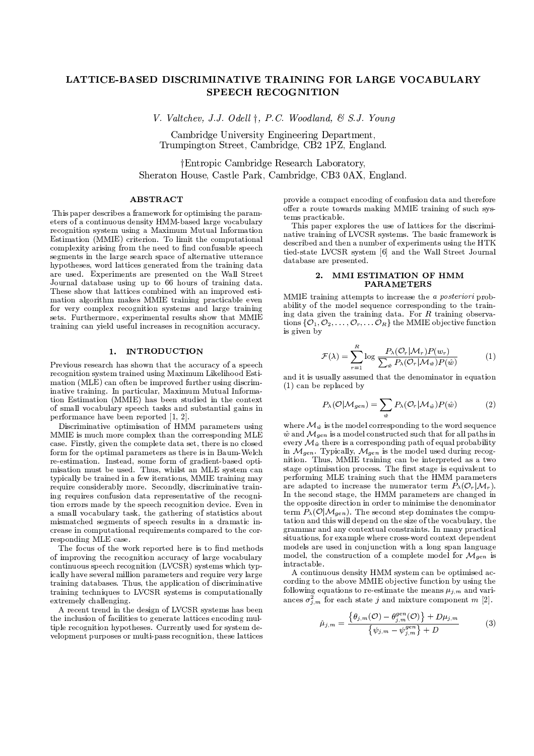# LATTICE-BASED DISCRIMINATIVE TRAINING FOR LARGE VOCABULARY **SPEECH RECOGNITION**

V. Valtchev, J.J. Odell  $\dagger$ , P.C. Woodland, & S.J. Young

Cambridge University Engineering Department, Trumpington Street, Cambridge, CB2 1PZ, England.

†Entropic Cambridge Research Laboratory. Sheraton House, Castle Park, Cambridge, CB3 0AX, England.

## **ABSTRACT**

This paper describes a framework for optimising the parameters of a continuous density HMM-based large vocabulary recognition system using a Maximum Mutual Information Estimation (MMIE) criterion. To limit the computational complexity arising from the need to find confusable speech segments in the large search space of alternative utterance hypotheses, word lattices generated from the training data are used. Experiments are presented on the Wall Street Journal database using up to 66 hours of training data. These show that lattices combined with an improved estimation algorithm makes MMIE training practicable even for very complex recognition systems and large training sets. Furthermore, experimental results show that MMIE training can yield useful increases in recognition accuracy.

# 1. INTRODUCTION

Previous research has shown that the accuracy of a speech recognition system trained using Maximum Likelihood Estimation (MLE) can often be improved further using discriminative training. In particular, Maximum Mutual Information Estimation (MMIE) has been studied in the context of small vocabulary speech tasks and substantial gains in performance have been reported [1, 2].

Discriminative optimisation of HMM parameters using MMIE is much more complex than the corresponding MLE case. Firstly, given the complete data set, there is no closed form for the optimal parameters as there is in Baum-Welch re-estimation. Instead, some form of gradient-based optimisation must be used. Thus, whilst an MLE system can typically be trained in a few iterations. MMIE training may require considerably more. Secondly, discriminative training requires confusion data representative of the recognition errors made by the speech recognition device. Even in a small vocabulary task, the gathering of statistics about mismatched segments of speech results in a dramatic increase in computational requirements compared to the corresponding MLE case.

The focus of the work reported here is to find methods of improving the recognition accuracy of large vocabulary continuous speech recognition (LVCSR) systems which typically have several million parameters and require very large training databases. Thus, the application of discriminative training techniques to LVCSR systems is computationally extremely challenging.

A recent trend in the design of LVCSR systems has been the inclusion of facilities to generate lattices encoding multiple recognition hypotheses. Currently used for system development purposes or multi-pass recognition, these lattices provide a compact encoding of confusion data and therefore offer a route towards making MMIE training of such systems practicable

This paper explores the use of lattices for the discriminative training of LVCSR systems. The basic framework is described and then a number of experiments using the HTK tied-state LVCSR system [6] and the Wall Street Journal database are presented.

# 2. MMI ESTIMATION OF HMM **PARAMETERS**

MMIE training attempts to increase the a posteriori probability of the model sequence corresponding to the training data given the training data. For  $R$  training observations  $\{\mathcal{O}_1, \mathcal{O}_2, \ldots, \mathcal{O}_r, \ldots, \mathcal{O}_R\}$  the MMIE objective function is given by

$$
\mathcal{F}(\lambda) = \sum_{r=1}^{R} \log \frac{P_{\lambda}(\mathcal{O}_{r}|\mathcal{M}_{r}) P(w_{r})}{\sum_{\hat{w}} P_{\lambda}(\mathcal{O}_{r}|\mathcal{M}_{\hat{w}}) P(\hat{w})}
$$
(1)

and it is usually assumed that the denominator in equation  $(1)$  can be replaced by

$$
P_{\lambda}(\mathcal{O}|\mathcal{M}_{gen}) = \sum_{\hat{w}} P_{\lambda}(\mathcal{O}_r|\mathcal{M}_{\hat{w}}) P(\hat{w})
$$
 (2)

where  $\mathcal{M}_{\hat{w}}$  is the model corresponding to the word sequence  $\hat{w}$  and  $\mathcal{M}_{gen}$  is a model constructed such that for all paths in every  $\mathcal{M}_{\hat{w}}$  there is a corresponding path of equal probability in  $\mathcal{M}_{gen}$ . Typically,  $\mathcal{M}_{gen}$  is the model used during recognition. Thus, MMIE training can be interpreted as a two stage optimisation process. The first stage is equivalent to performing MLE training such that the HMM parameters are adapted to increase the numerator term  $P_{\lambda}(\mathcal{O}_r|\mathcal{M}_r)$ . In the second stage, the HMM parameters are changed in the opposite direction in order to minimise the denominator term  $P_{\lambda}(\mathcal{O}|\mathcal{M}_{gen})$ . The second step dominates the computation and this will depend on the size of the vocabulary, the grammar and any contextual constraints. In many practical situations, for example where cross-word context dependent models are used in conjunction with a long span language model, the construction of a complete model for  $\mathcal{M}_{gen}$  is intractable.

A continuous density HMM system can be optimised according to the above MMIE objective function by using the following equations to re-estimate the means  $\mu_{j,m}$  and variances  $\sigma_{j,m}^2$  for each state j and mixture component m [2].

$$
\hat{\mu}_{j,m} = \frac{\left\{\theta_{j,m}(\mathcal{O}) - \theta_{j,m}^{gen}(\mathcal{O})\right\} + D\mu_{j,m}}{\left\{\psi_{j,m} - \psi_{j,m}^{gen}\right\} + D}
$$
(3)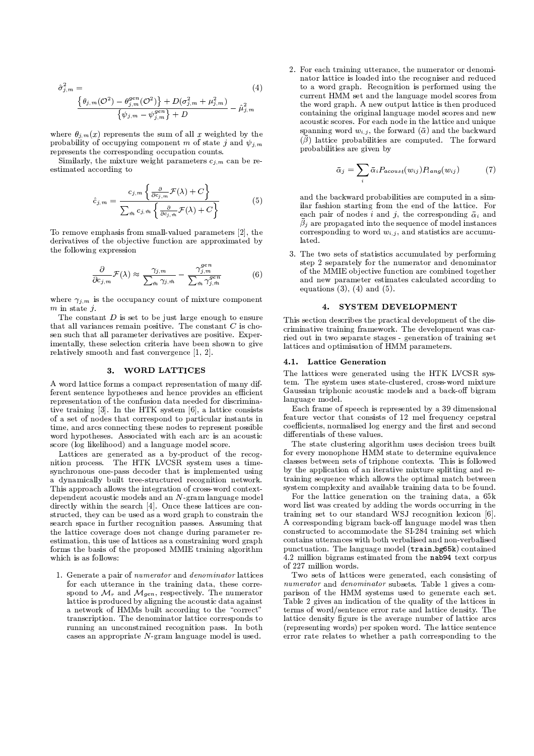$$
\hat{\sigma}_{j,m}^{2} = \n\frac{\{\theta_{j,m}(\mathcal{O}^{2}) - \theta_{j,m}^{gen}(\mathcal{O}^{2})\} + D(\sigma_{j,m}^{2} + \mu_{j,m}^{2})}{\{\psi_{j,m} - \psi_{j,m}^{gen}\} + D}\n- \hat{\mu}_{j,m}^{2}
$$
\n(4)

where  $\theta_{i,m}(x)$  represents the sum of all x weighted by the probability of occupying component m of state i and  $\psi_{i,m}$ the state of the state of the state of the state of the state of the state of the state of the state of the state of

Similarly, the mixture weight parameters  $c_{i,m}$  can be re-"67-b6&"#S2%"% 1.!#8N9/61

$$
\hat{c}_{j,m} = \frac{c_{j,m} \left\{ \frac{\partial}{\partial c_{j,m}} \mathcal{F}(\lambda) + C \right\}}{\sum_{\hat{m}} c_{j,\hat{m}} \left\{ \frac{\partial}{\partial c_{j,\hat{m}}} \mathcal{F}(\lambda) + C \right\}}
$$
(5)

 $1\!\!1\!\!1$  . And the same set of  $\!\!1\!\!1$  ,  $\!\!1\!\!1$  ,  $\!\!1\!\!1$  ,  $\!\!1\!\!1$  ,  $\!\!1\!\!1$  ,  $\!\!1\!\!1$  ,  $\!\!1\!\!1$ derivatives of the objective function are approximated by the following expression

$$
\frac{\partial}{\partial c_{j,m}} \mathcal{F}(\lambda) \approx \frac{\gamma_{j,m}}{\sum_{\hat{m}} \gamma_{j,\hat{m}}} - \frac{\gamma_{j,m}^{gen}}{\sum_{\hat{m}} \gamma_{j,\hat{m}}^{gen}} \tag{6}
$$

where  $\gamma_{i,m}$  is the occupancy count of mixture component 8T66&ºa ° ¯

The constant D is set to be just large enough to ensure  $\Box$  $\mathbf{A}$  and  $\mathbf{A}$  are the set of  $\mathbf{A}$  . The set of  $\mathbf{A}$  $\mathbb{R}^n$  and  $\mathbb{R}^n$  . The state  $\mathbb{R}^n$  is the state  $\mathbb{R}^n$  is the state  $\mathbb{R}^n$  is the state  $\mathbb{R}^n$ imentally, these selection criteria have been shown to give  $\overline{a}$ . relatively smooth and fast convergence  $[1, 2]$ .

# 3. WORD LATTICES

 $\blacksquare$  in the first of the backrame is the set of the set of the set of the set of the set of the set of the set of the set of the set of the set of the set of the set of the set of the set of the set of the set of the se  $\delta$  . The state of the state of the state of the state of the state of the state of the state of the state of the state of the state of the state of the state of the state of the state of the state of the state of the st !"!&"&"8?6&261A8F1A\*6&M% 1.8N\*,@N1A8F#N26&>8B"#B#F\*512!:#N% !,-/8NQ<  $\alpha$  . In the structure in the same set of  $\alpha$ . A second the second term of the second and the second design of the second second and the second second second second second second second second second second second second second second second second second second seco  $t$ ime, and arcs connecting these nodes to represent possible  $\qquad \, ^{\rm CO}$ word hypotheses. Associated with each arc is an acoustic 1. Aastal Karen in die 12de eeu n.C. N.D. 2012 is deur de gewone in die 1ste jaar van die 1ste eeu n.C. N.D. 2

Lattices are generated as a by-product of the recog- $8$  : the state of the state of the state  $\mathcal{P}$  and  $\mathcal{P}$  . The state of the state of the state of the state of the state of the state of the state of the state of the state of the state of the state of the state of . The second contract of the second contract of the second contract of the second contract of the second contract of a dynamically built tree-structured recognition network. . The set of the set of the set of the set of the set of the set of the set of the set of the set of the set of the set of the set of the set of the set of the set of the set of the set of the set of the set of the set of # "8#N"8?6.% 1A@
6&%f-/1P#"K+.8#w28 <D9.!&A-K7289A@N29.4-/1P#BK <sup>5</sup>  $\mathbf{B}$  is the state of the contract  $\mathbf{A}$  and  $\mathbf{A}$  and  $\mathbf{A}$  are the contract of the contract of the contract of the contract of the contract of the contract of the contract of the contract of the contract of structed, they can be used as a word graph to constrain the  $\qquad \quad \text{tr}$  $\mathbf{R}$  . The set of the set of the set of the set of the set of the set of the set of the set of the set of the set of the set of the set of the set of the set of the set of the set of the set of the set of the set of t  $\mathbf{A}$  and  $\mathbf{A}$  is a set of the set of the set of the set of the set of the set of the set of the set of the set of the set of the set of the set of the set of the set of the set of the set of the set of the set of estimation, this use of lattices as a constraining word graph forms the basis of the proposed MMIE training algorithm which is as follows:

spond to M and M respectively. The numerator  $\Box$  p  $\Omega$  . Concrete a raise of mumerator and dependent of an atticor.  $5$  . The state of the state of the state of the state of the state of the state of the state of the state of the state of the state of the state of the state of the state of the state of the state of the state of the sta  ${\rm lattice~ is~produced~ by~aliening~ the~acoustic~data~ageninst}$ a network of HMMs built according to the "correct" and the state of  $H$ 6!&.8% !&(671.8a+:Nd#B81A-/78N6&12!iK766&% V% 1.!
!&" 1.8#6&1 running an unconstrained recognition pass. In both  $\blacksquare$  . Bit.8T2  $\blacksquare$  . The contract of the contract of the contract of the contract of the contract of the contract of the contract of the contract of the contract of the contract of the contract of the contract of the

 $(\bar{\beta})$  lattice probabilities are computed. The forward spanning word  $w_{i,i}$ , the forward ( $\bar{\alpha}$ ) and the backward  $\blacksquare$  . The state of the state of the state of the state of the state of the state of the state of the state of the state of the state of the state of the state of the state of the state of the state of the state of the 8N261.!K726
6&%"d7K1?2#B#T8?61[6NM!&"%"1.9A8"!f28#T!B#@% B# to a word graph. Recognition is performed using the  $\alpha$  . The state  $\alpha$  is the state of the state  $\alpha$  $\times$  10  $\times$  10  $\times$  10  $\times$  10  $\times$  10  $\times$  10  $\times$  10  $\times$  10  $\times$  10  $\times$  10  $\times$  10  $\times$  10  $\times$  10  $\times$  10  $\times$ %"1.8A627889V6&412!&9.8N2KgK7289.@N.9.M-/1P#"K&% 1.!B:28#w8"0 2%"1.@6&%&% 1.!BBa|{12!|Q2%=81P#+8V6&K726
6&%"+28#>@8?@ probabilities are given by

$$
\bar{\alpha}_j = \sum_i \bar{\alpha}_i P_{acoust}(w_{ij}) P_{lang}(w_{ij}) \tag{7}
$$

each pair of nodes i and i, the corresponding  $\bar{\alpha}_i$  and  $\beta$ , are preparated into the sequence of model instances corresponding to word  $w_{i,i}$ , and statistics are accumuand the backward probabilities are computed in a sim- $\mathbf{A}$  and  $\mathbf{A}$  are a set of  $\mathbf{A}$  and  $\mathbf{A}$  and  $\mathbf{A}$  are a set of  $\mathbf{A}$ lated.

3. The two sets of statistics accumulated by performing  $\mathcal{L}$  . The set of the set of the set of the set of the set of the set of the set of the set of the set of the set of the set of the set of the set of the set of the set of the set of the set of the set of the set of t of the MMIE objective function are combined together 28N#8 0~!.-/"6"!="67-b6&"=%"2K7% @K726B#n2%"% 12!&#89S61 equations  $(3)$ ,  $(4)$  and  $(5)$ .

#### 4. SYSTEM DEVELOPMENT

This section describes the practical development of the discriminative training framework. The development was car- $\blacksquare$  . The set of the set of the set of the set of the set of the set of the set of the set of the set of the set of the set of the set of the set of the set of the set of the set of the set of the set of the set of the  $\mathbf{r}$  . The state of the state of the state of the state of the state of the state of the state of the state of the state of the state of the state of the state of the state of the state of the state of the state of th

#### 4.1. Lattice Generation

:uK726
6&%""F0+ !&u9.B8 !6&"#ê@789n6&OEii.4:o CP
<  $\alpha$  and  $\alpha$  are the contract of the contract of the contract of the contract of the contract of the contract of the contract of the contract of the contract of the contract of the contract of the contract of the contrac Gaussian triphonic acoustic models and a back-off bigra language model.

Each frame of speech is represented by a 39 dimensional  $\alpha$  . The state  $\alpha$  and  $\alpha$  is a state of  $\alpha$ % 1P+b% B8A6&BhY81.!&-[.K&"#IK1.9/B8 !&92CF.8#F6&4e!&
6i28#I&"%"1.8# #( !&B8A6&72Ki1.\*6B&ML22K@BBa

The state clustering algorithm uses decision trees built  $\bf{11}$ classes between sets of triphone contexts. This is followed by the application of an iterative mixture splitting and retraining sequence which allows the optimal match between system complexity and available training data to be found.

. In the second control of the second control of the second control of the second control of the second control of the second control of the second control of the second control of the second control of the second control word list was created by adding the words occurring in the 6
!27889O& 6[6&1O1.@Y!b6&.8#N!&#qmxo <sup>p</sup> !&"%"1.9.8(6&1A8^KUY7% 1.8zs.Ja A corresponding bigram back-off language model was then % 1A8
6!&@%6&B#T61F2%"% 1A-b-/1P#N6&d6&/oPZ\_<\*-[6!2889w& 6i07%& contains utterances with both verbalised and non-verbalised  $\begin{array}{ccc} \hline \end{array}$ 4.2 million bigrams estimated from the  $nab94$  text corpus of 227 million words.

 $-$  . Altready for the state  $\alpha$ numerator and denominator subsets. Table 1 gives a com-. A strange for the strain of the strain of the strain of the strain of the strain of the strain of the strain of the strain of the strain of the strain of the strain of the strain of the strain of the strain of the strain Table 2 gives an indication of the quality of the lattices in  $\mathcal{L} = \mathcal{L} = \mathcal{L} = \mathcal{L} = \mathcal{L} = \mathcal{L} = \mathcal{L} = \mathcal{L} = \mathcal{L} = \mathcal{L} = \mathcal{L} = \mathcal{L} = \mathcal{L} = \mathcal{L} = \mathcal{L} = \mathcal{L} = \mathcal{L} = \mathcal{L} = \mathcal{L} = \mathcal{L} = \mathcal{L} = \mathcal{L} = \mathcal{L} = \mathcal{L} = \mathcal{L} = \mathcal{L} = \mathcal{L} = \mathcal{L} = \mathcal{L} = \mathcal{L} = \mathcal{L} = \mathcal$ lattice density figure is the average number of lattice arcs . The set of the set of the set of the set of the set of the set of the set of the set of the set of the set of the set of the set of the set of the set of the set of the set of the set of the set of the set of the set of !!&12!=!6&w!BK76&"=6&1X0N 6& ![T26ð% 1.!
!&B
 1.8#789S6&1X6&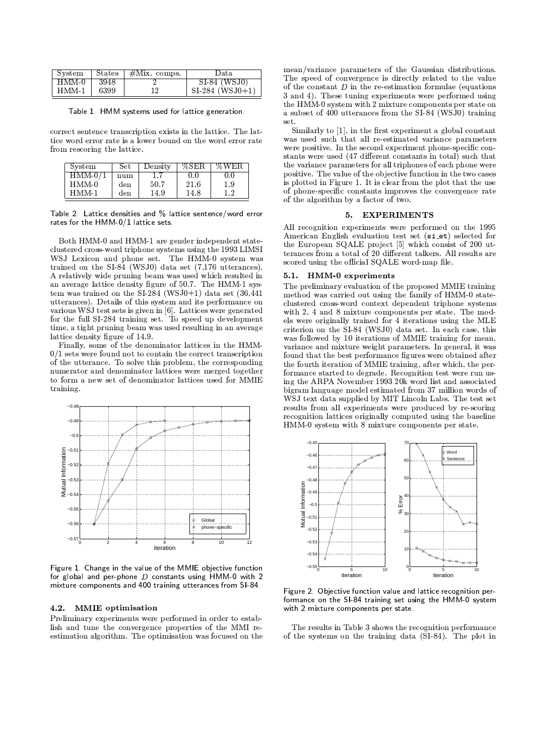| System | States | $#Mix. \text{ comps.}$ | Data.             |  |  |
|--------|--------|------------------------|-------------------|--|--|
| HMM 0  | 3948   |                        | $SI-84$ (WSJ0)    |  |  |
| HMM-1  | 6399   | 19                     | $SI-284$ (WSJ0+1) |  |  |

Table 1. HMM systems used for lattice generation.

correct sentence transcription exists in the lattice. The lattice word error rate is a lower bound on the word error rate from rescoring the lattice.

| System   | Set | Density | %SER | % W E R |
|----------|-----|---------|------|---------|
| $HMM-0/$ | num |         | 0 O  | 0.0     |
| HMM-0    | den | 50.7    | 21.6 | 1.9     |
| $HMM-1$  | den | 14.9    | 14.8 | 19      |

Table 2. Lattice densities and % lattice sentence/word error rates for the HMM-0/1 lattice sets.

Both HMM-0 and HMM-1 are gender independent stateclustered cross-word triphone systems using the 1993 LIMSI WSJ Lexicon and phone set. The HMM-0 system was trained on the SI-84 (WSJ0) data set (7,176 utterances). A relatively wide pruning beam was used which resulted in an average lattice density figure of 50.7. The HMM-1 system was trained on the  $SI-284$  (WSJ0+1) data set (36,441) utterances). Details of this system and its performance on various WSJ test sets is given in [6]. Lattices were generated for the full SI-284 training set. To speed up development time, a tight pruning beam was used resulting in an average lattice density figure of 14.9.

Finally, some of the denominator lattices in the HMM- $0/1\,\mathrm{sets}$  were found not to contain the correct transcription of the utterance. To solve this problem, the corresponding numerator and denominator lattices were merged together to form a new set of denominator lattices used for MMIE training.



Figure 1. Change in the value of the MMIE objective function for global and per-phone  $D$  constants using HMM-0 with 2 mixture components and 400 training utterances from SI-84.

#### 4.2. MMIE optimisation

Preliminary experiments were performed in order to establish and tune the convergence properties of the MMI reestimation algorithm. The optimisation was focused on the mean/variance parameters of the Gaussian distributions. The speed of convergence is directly related to the value of the constant  $D$  in the re-estimation formulae (equations 3 and 4). These tuning experiments were performed using the HMM-0 system with 2 mixture components per state on a subset of 400 utterances from the SI-84 (WSJ0) training set.

Similarly to [1], in the first experiment a global constant was used such that all re-estimated variance parameters were positive. In the second experiment phone-specific constants were used (47 different constants in total) such that the variance parameters for all triphones of each phone were positive. The value of the objective function in the two cases is plotted in Figure 1. It is clear from the plot that the use of phone-specific constants improves the convergence rate of the algorithm by a factor of two.

#### 5. EXPERIMENTS

All recognition experiments were performed on the 1995 American English evaluation test set (si\_et) selected for the European SQALE project [5] which consist of 200 utterances from a total of 20 different talkers. All results are scored using the official SQALE word-map file.

#### 5.1. HMM-0 experiments

The preliminary evaluation of the proposed MMIE training method was carried out using the family of HMM-0 stateclustered cross-word context dependent triphone systems with 2, 4 and 8 mixture components per state. The models were originally trained for 4 iterations using the MLE criterion on the SI-84 (WSJ0) data set. In each case, this was followed by 10 iterations of MMIE training for mean. variance and mixture weight parameters. In general, it was found that the best performance figures were obtained after the fourth iteration of MMIE training, after which, the performance started to degrade. Recognition test were run using the ARPA November 1993 20k word list and associated bigram language model estimated from 37 million words of WSJ text data supplied by MIT Lincoln Labs. The test set results from all experiments were produced by re-scoring recognition lattices originally computed using the baseline HMM-0 system with 8 mixture components per state.



Figure 2. Objective function value and lattice recognition performance on the SI-84 training set using the HMM-0 system with 2 mixture components per state.

The results in Table 3 shows the recognition performance of the systems on the training data (SI-84). The plot in